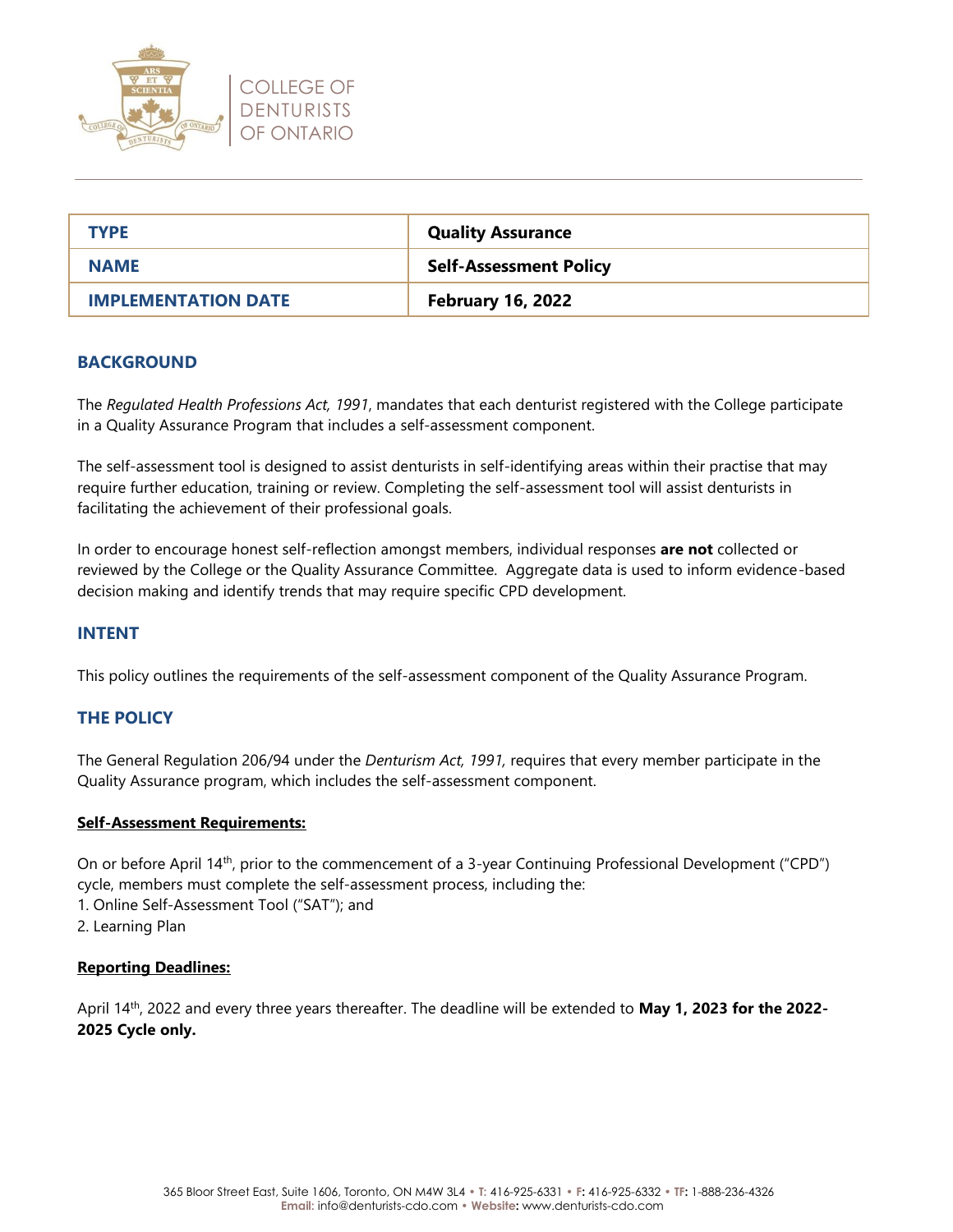

| <b>TYPE</b>                | <b>Quality Assurance</b>      |
|----------------------------|-------------------------------|
| <b>NAME</b>                | <b>Self-Assessment Policy</b> |
| <b>IMPLEMENTATION DATE</b> | <b>February 16, 2022</b>      |

## **BACKGROUND**

The *Regulated Health Professions Act, 1991*, mandates that each denturist registered with the College participate in a Quality Assurance Program that includes a self-assessment component.

The self-assessment tool is designed to assist denturists in self-identifying areas within their practise that may require further education, training or review. Completing the self-assessment tool will assist denturists in facilitating the achievement of their professional goals.

In order to encourage honest self-reflection amongst members, individual responses **are not** collected or reviewed by the College or the Quality Assurance Committee. Aggregate data is used to inform evidence-based decision making and identify trends that may require specific CPD development.

# **INTENT**

This policy outlines the requirements of the self-assessment component of the Quality Assurance Program.

# **THE POLICY**

The General Regulation 206/94 under the *Denturism Act, 1991,* requires that every member participate in the Quality Assurance program, which includes the self-assessment component.

#### **Self-Assessment Requirements:**

On or before April 14<sup>th</sup>, prior to the commencement of a 3-year Continuing Professional Development ("CPD") cycle, members must complete the self-assessment process, including the:

1. Online Self-Assessment Tool ("SAT"); and

2. Learning Plan

#### **Reporting Deadlines:**

April 14th, 2022 and every three years thereafter. The deadline will be extended to **May 1, 2023 for the 2022- 2025 Cycle only.**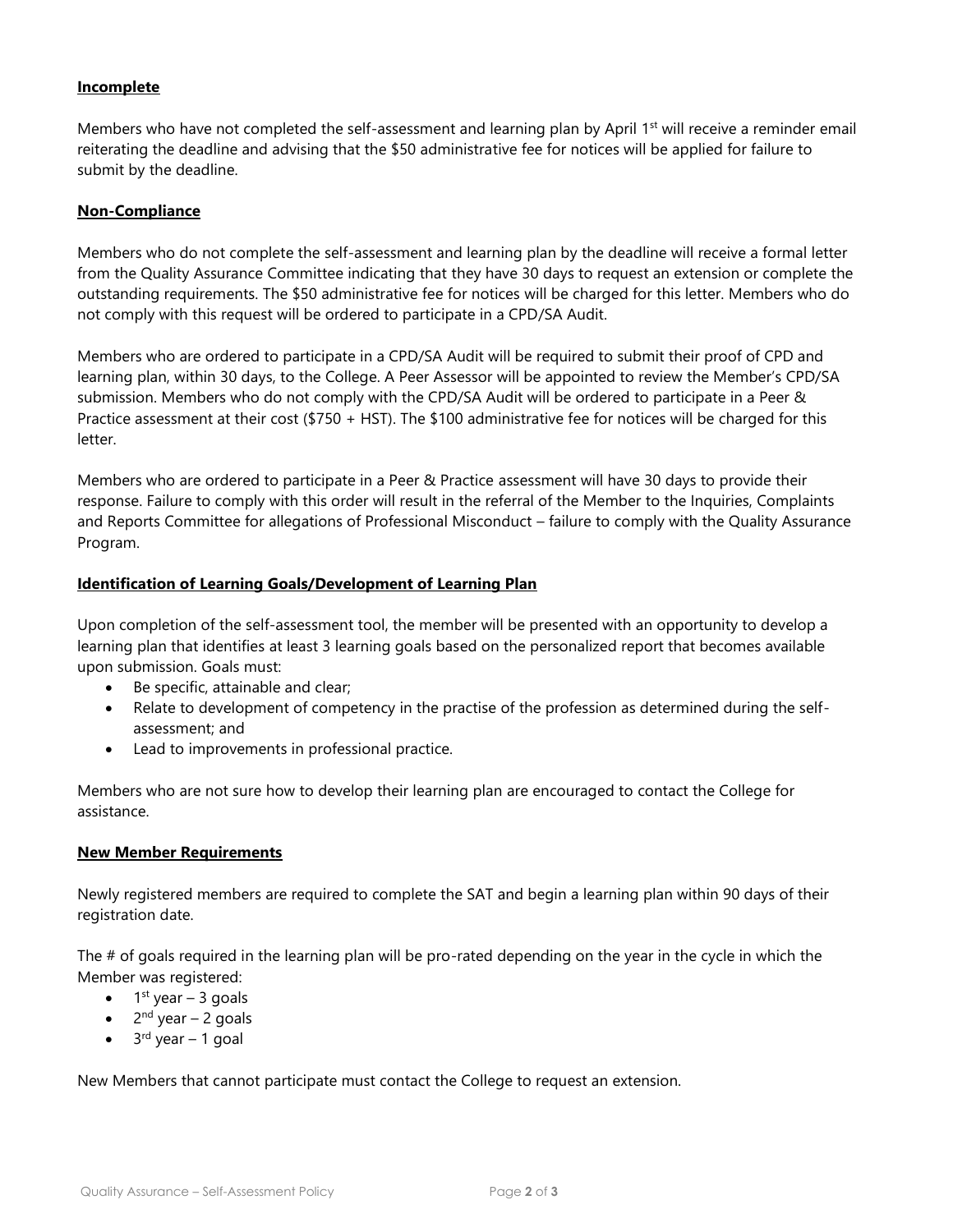## **Incomplete**

Members who have not completed the self-assessment and learning plan by April 1<sup>st</sup> will receive a reminder email reiterating the deadline and advising that the \$50 administrative fee for notices will be applied for failure to submit by the deadline.

### **Non-Compliance**

Members who do not complete the self-assessment and learning plan by the deadline will receive a formal letter from the Quality Assurance Committee indicating that they have 30 days to request an extension or complete the outstanding requirements. The \$50 administrative fee for notices will be charged for this letter. Members who do not comply with this request will be ordered to participate in a CPD/SA Audit.

Members who are ordered to participate in a CPD/SA Audit will be required to submit their proof of CPD and learning plan, within 30 days, to the College. A Peer Assessor will be appointed to review the Member's CPD/SA submission. Members who do not comply with the CPD/SA Audit will be ordered to participate in a Peer & Practice assessment at their cost (\$750 + HST). The \$100 administrative fee for notices will be charged for this letter.

Members who are ordered to participate in a Peer & Practice assessment will have 30 days to provide their response. Failure to comply with this order will result in the referral of the Member to the Inquiries, Complaints and Reports Committee for allegations of Professional Misconduct – failure to comply with the Quality Assurance Program.

### **Identification of Learning Goals/Development of Learning Plan**

Upon completion of the self-assessment tool, the member will be presented with an opportunity to develop a learning plan that identifies at least 3 learning goals based on the personalized report that becomes available upon submission. Goals must:

- Be specific, attainable and clear;
- Relate to development of competency in the practise of the profession as determined during the selfassessment; and
- Lead to improvements in professional practice.

Members who are not sure how to develop their learning plan are encouraged to contact the College for assistance.

#### **New Member Requirements**

Newly registered members are required to complete the SAT and begin a learning plan within 90 days of their registration date.

The # of goals required in the learning plan will be pro-rated depending on the year in the cycle in which the Member was registered:

- $\bullet$  1<sup>st</sup> year 3 goals
- $2<sup>nd</sup>$  year 2 goals
- $\bullet$  3<sup>rd</sup> year 1 goal

New Members that cannot participate must contact the College to request an extension.